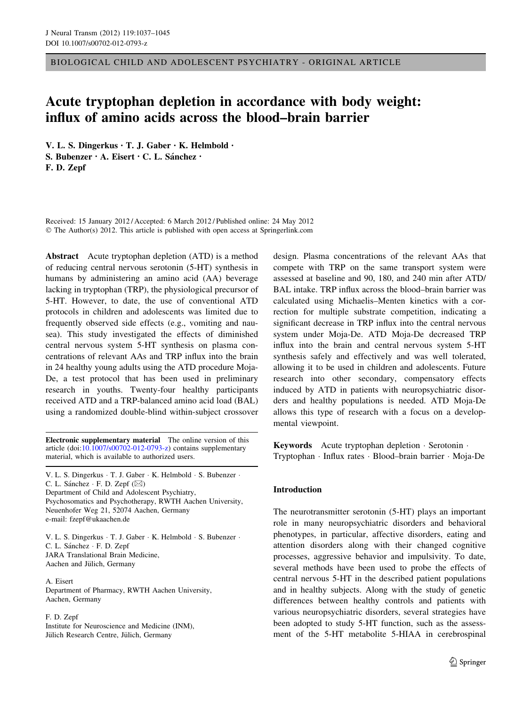BIOLOGICAL CHILD AND ADOLESCENT PSYCHIATRY - ORIGINAL ARTICLE

# Acute tryptophan depletion in accordance with body weight: influx of amino acids across the blood–brain barrier

V. L. S. Dingerkus • T. J. Gaber • K. Helmbold • S. Bubenzer · A. Eisert · C. L. Sánchez · F. D. Zepf

Received: 15 January 2012 / Accepted: 6 March 2012 / Published online: 24 May 2012 © The Author(s) 2012. This article is published with open access at Springerlink.com

Abstract Acute tryptophan depletion (ATD) is a method of reducing central nervous serotonin (5-HT) synthesis in humans by administering an amino acid (AA) beverage lacking in tryptophan (TRP), the physiological precursor of 5-HT. However, to date, the use of conventional ATD protocols in children and adolescents was limited due to frequently observed side effects (e.g., vomiting and nausea). This study investigated the effects of diminished central nervous system 5-HT synthesis on plasma concentrations of relevant AAs and TRP influx into the brain in 24 healthy young adults using the ATD procedure Moja-De, a test protocol that has been used in preliminary research in youths. Twenty-four healthy participants received ATD and a TRP-balanced amino acid load (BAL) using a randomized double-blind within-subject crossover

Electronic supplementary material The online version of this article (doi:[10.1007/s00702-012-0793-z](http://dx.doi.org/10.1007/s00702-012-0793-z)) contains supplementary material, which is available to authorized users.

V. L. S. Dingerkus · T. J. Gaber · K. Helmbold · S. Bubenzer · C. L. Sánchez  $\cdot$  F. D. Zepf ( $\boxtimes$ ) Department of Child and Adolescent Psychiatry, Psychosomatics and Psychotherapy, RWTH Aachen University, Neuenhofer Weg 21, 52074 Aachen, Germany e-mail: fzepf@ukaachen.de

V. L. S. Dingerkus · T. J. Gaber · K. Helmbold · S. Bubenzer · C. L. Sánchez · F. D. Zepf JARA Translational Brain Medicine, Aachen and Jülich, Germany

A. Eisert Department of Pharmacy, RWTH Aachen University, Aachen, Germany

F. D. Zepf Institute for Neuroscience and Medicine (INM),

Jülich Research Centre, Jülich, Germany

design. Plasma concentrations of the relevant AAs that compete with TRP on the same transport system were assessed at baseline and 90, 180, and 240 min after ATD/ BAL intake. TRP influx across the blood–brain barrier was calculated using Michaelis–Menten kinetics with a correction for multiple substrate competition, indicating a significant decrease in TRP influx into the central nervous system under Moja-De. ATD Moja-De decreased TRP influx into the brain and central nervous system 5-HT synthesis safely and effectively and was well tolerated, allowing it to be used in children and adolescents. Future research into other secondary, compensatory effects induced by ATD in patients with neuropsychiatric disorders and healthy populations is needed. ATD Moja-De allows this type of research with a focus on a developmental viewpoint.

Keywords Acute tryptophan depletion · Serotonin · Tryptophan - Influx rates - Blood–brain barrier - Moja-De

## Introduction

The neurotransmitter serotonin (5-HT) plays an important role in many neuropsychiatric disorders and behavioral phenotypes, in particular, affective disorders, eating and attention disorders along with their changed cognitive processes, aggressive behavior and impulsivity. To date, several methods have been used to probe the effects of central nervous 5-HT in the described patient populations and in healthy subjects. Along with the study of genetic differences between healthy controls and patients with various neuropsychiatric disorders, several strategies have been adopted to study 5-HT function, such as the assessment of the 5-HT metabolite 5-HIAA in cerebrospinal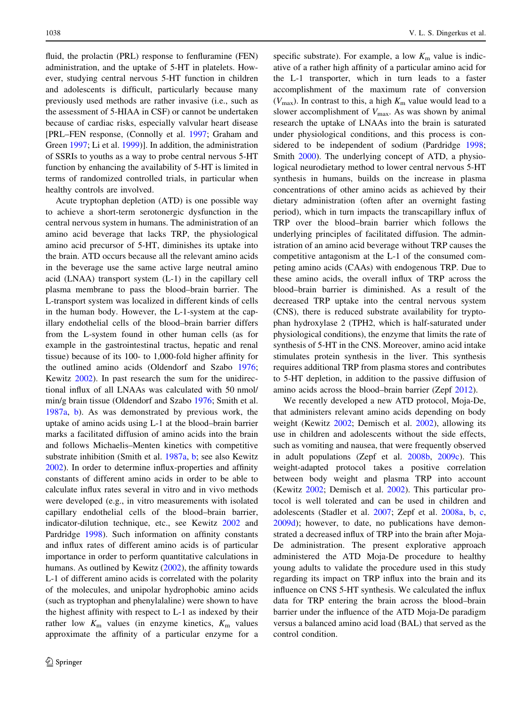fluid, the prolactin (PRL) response to fenfluramine (FEN) administration, and the uptake of 5-HT in platelets. However, studying central nervous 5-HT function in children and adolescents is difficult, particularly because many previously used methods are rather invasive (i.e., such as the assessment of 5-HIAA in CSF) or cannot be undertaken because of cardiac risks, especially valvular heart disease [PRL–FEN response, (Connolly et al. [1997;](#page-7-0) Graham and Green [1997;](#page-7-0) Li et al. [1999](#page-7-0))]. In addition, the administration of SSRIs to youths as a way to probe central nervous 5-HT function by enhancing the availability of 5-HT is limited in terms of randomized controlled trials, in particular when healthy controls are involved.

Acute tryptophan depletion (ATD) is one possible way to achieve a short-term serotonergic dysfunction in the central nervous system in humans. The administration of an amino acid beverage that lacks TRP, the physiological amino acid precursor of 5-HT, diminishes its uptake into the brain. ATD occurs because all the relevant amino acids in the beverage use the same active large neutral amino acid (LNAA) transport system (L-1) in the capillary cell plasma membrane to pass the blood–brain barrier. The L-transport system was localized in different kinds of cells in the human body. However, the L-1-system at the capillary endothelial cells of the blood–brain barrier differs from the L-system found in other human cells (as for example in the gastrointestinal tractus, hepatic and renal tissue) because of its 100- to 1,000-fold higher affinity for the outlined amino acids (Oldendorf and Szabo [1976](#page-7-0); Kewitz [2002\)](#page-7-0). In past research the sum for the unidirectional influx of all LNAAs was calculated with 50 nmol/ min/g brain tissue (Oldendorf and Szabo [1976](#page-7-0); Smith et al. [1987a](#page-7-0), [b\)](#page-7-0). As was demonstrated by previous work, the uptake of amino acids using L-1 at the blood–brain barrier marks a facilitated diffusion of amino acids into the brain and follows Michaelis–Menten kinetics with competitive substrate inhibition (Smith et al. [1987a](#page-7-0), [b;](#page-7-0) see also Kewitz [2002\)](#page-7-0). In order to determine influx-properties and affinity constants of different amino acids in order to be able to calculate influx rates several in vitro and in vivo methods were developed (e.g., in vitro measurements with isolated capillary endothelial cells of the blood–brain barrier, indicator-dilution technique, etc., see Kewitz [2002](#page-7-0) and Pardridge [1998\)](#page-7-0). Such information on affinity constants and influx rates of different amino acids is of particular importance in order to perform quantitative calculations in humans. As outlined by Kewitz [\(2002](#page-7-0)), the affinity towards L-1 of different amino acids is correlated with the polarity of the molecules, and unipolar hydrophobic amino acids (such as tryptophan and phenylalaline) were shown to have the highest affinity with respect to L-1 as indexed by their rather low  $K<sub>m</sub>$  values (in enzyme kinetics,  $K<sub>m</sub>$  values approximate the affinity of a particular enzyme for a specific substrate). For example, a low  $K<sub>m</sub>$  value is indicative of a rather high affinity of a particular amino acid for the L-1 transporter, which in turn leads to a faster accomplishment of the maximum rate of conversion  $(V_{\text{max}})$ . In contrast to this, a high  $K_{\text{m}}$  value would lead to a slower accomplishment of  $V_{\text{max}}$ . As was shown by animal research the uptake of LNAAs into the brain is saturated under physiological conditions, and this process is considered to be independent of sodium (Pardridge [1998](#page-7-0); Smith [2000](#page-7-0)). The underlying concept of ATD, a physiological neurodietary method to lower central nervous 5-HT synthesis in humans, builds on the increase in plasma concentrations of other amino acids as achieved by their dietary administration (often after an overnight fasting period), which in turn impacts the transcapillary influx of TRP over the blood–brain barrier which follows the underlying principles of facilitated diffusion. The administration of an amino acid beverage without TRP causes the competitive antagonism at the L-1 of the consumed competing amino acids (CAAs) with endogenous TRP. Due to these amino acids, the overall influx of TRP across the blood–brain barrier is diminished. As a result of the decreased TRP uptake into the central nervous system (CNS), there is reduced substrate availability for tryptophan hydroxylase 2 (TPH2, which is half-saturated under physiological conditions), the enzyme that limits the rate of synthesis of 5-HT in the CNS. Moreover, amino acid intake stimulates protein synthesis in the liver. This synthesis requires additional TRP from plasma stores and contributes to 5-HT depletion, in addition to the passive diffusion of amino acids across the blood–brain barrier (Zepf [2012\)](#page-8-0).

We recently developed a new ATD protocol, Moja-De, that administers relevant amino acids depending on body weight (Kewitz [2002;](#page-7-0) Demisch et al. [2002\)](#page-7-0), allowing its use in children and adolescents without the side effects, such as vomiting and nausea, that were frequently observed in adult populations (Zepf et al. [2008b,](#page-8-0) [2009c\)](#page-8-0). This weight-adapted protocol takes a positive correlation between body weight and plasma TRP into account (Kewitz [2002](#page-7-0); Demisch et al. [2002\)](#page-7-0). This particular protocol is well tolerated and can be used in children and adolescents (Stadler et al. [2007](#page-7-0); Zepf et al. [2008a,](#page-8-0) [b](#page-8-0), [c,](#page-8-0) [2009d](#page-8-0)); however, to date, no publications have demonstrated a decreased influx of TRP into the brain after Moja-De administration. The present explorative approach administered the ATD Moja-De procedure to healthy young adults to validate the procedure used in this study regarding its impact on TRP influx into the brain and its influence on CNS 5-HT synthesis. We calculated the influx data for TRP entering the brain across the blood–brain barrier under the influence of the ATD Moja-De paradigm versus a balanced amino acid load (BAL) that served as the control condition.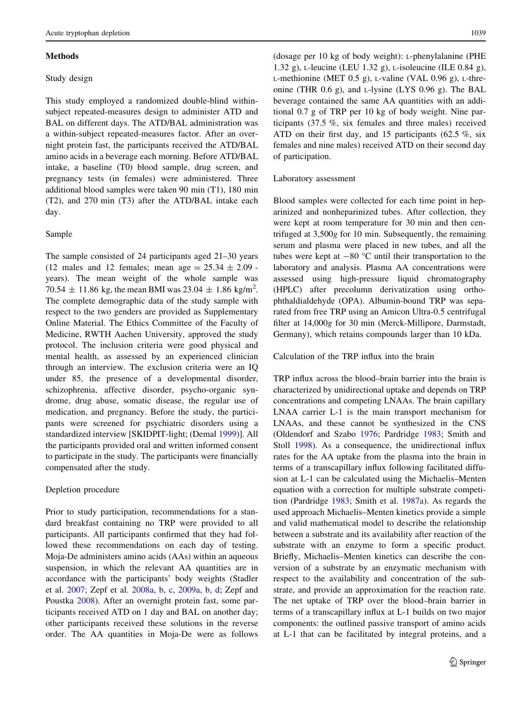#### **Methods**

## Study design

This study employed a randomized double-blind withinsubject repeated-measures design to administer ATD and BAL on different days. The ATD/BAL administration was a within-subject repeated-measures factor. After an overnight protein fast, the participants received the ATD/BAL amino acids in a beverage each morning. Before ATD/BAL intake, a baseline (T0) blood sample, drug screen, and pregnancy tests (in females) were administered. Three additional blood samples were taken 90 min (T1), 180 min (T2), and 270 min (T3) after the ATD/BAL intake each day.

## Sample

The sample consisted of 24 participants aged 21–30 years (12 males and 12 females; mean age  $= 25.34 \pm 2.09$ . years). The mean weight of the whole sample was 70.54  $\pm$  11.86 kg, the mean BMI was 23.04  $\pm$  1.86 kg/m<sup>2</sup>. The complete demographic data of the study sample with respect to the two genders are provided as Supplementary Online Material. The Ethics Committee of the Faculty of Medicine, RWTH Aachen University, approved the study protocol. The inclusion criteria were good physical and mental health, as assessed by an experienced clinician through an interview. The exclusion criteria were an IQ under 85, the presence of a developmental disorder, schizophrenia, affective disorder, psycho-organic syndrome, drug abuse, somatic disease, the regular use of medication, and pregnancy. Before the study, the participants were screened for psychiatric disorders using a standardized interview [SKIDPIT-light; (Demal [1999\)](#page-7-0)]. All the participants provided oral and written informed consent to participate in the study. The participants were financially compensated after the study.

#### Depletion procedure

Prior to study participation, recommendations for a standard breakfast containing no TRP were provided to all participants. All participants confirmed that they had followed these recommendations on each day of testing. Moja-De administers amino acids (AAs) within an aqueous suspension, in which the relevant AA quantities are in accordance with the participants' body weights (Stadler et al. [2007](#page-7-0); Zepf et al. [2008a](#page-8-0), [b](#page-8-0), [c,](#page-8-0) [2009a](#page-8-0), [b,](#page-8-0) [d;](#page-8-0) Zepf and Poustka [2008](#page-8-0)). After an overnight protein fast, some participants received ATD on 1 day and BAL on another day; other participants received these solutions in the reverse order. The AA quantities in Moja-De were as follows (dosage per 10 kg of body weight): L-phenylalanine (PHE 1.32 g), L-leucine (LEU 1.32 g), L-isoleucine (ILE 0.84 g), L-methionine (MET 0.5 g), L-valine (VAL 0.96 g), L-threonine (THR 0.6 g), and L-lysine (LYS 0.96 g). The BAL beverage contained the same AA quantities with an additional 0.7 g of TRP per 10 kg of body weight. Nine participants (37.5 %, six females and three males) received ATD on their first day, and 15 participants (62.5 %, six females and nine males) received ATD on their second day of participation.

#### Laboratory assessment

Blood samples were collected for each time point in heparinized and nonheparinized tubes. After collection, they were kept at room temperature for 30 min and then centrifuged at 3,500g for 10 min. Subsequently, the remaining serum and plasma were placed in new tubes, and all the tubes were kept at  $-80$  °C until their transportation to the laboratory and analysis. Plasma AA concentrations were assessed using high-pressure liquid chromatography (HPLC) after precolumn derivatization using orthophthaldialdehyde (OPA). Albumin-bound TRP was separated from free TRP using an Amicon Ultra-0.5 centrifugal filter at 14,000g for 30 min (Merck-Millipore, Darmstadt, Germany), which retains compounds larger than 10 kDa.

## Calculation of the TRP influx into the brain

TRP influx across the blood–brain barrier into the brain is characterized by unidirectional uptake and depends on TRP concentrations and competing LNAAs. The brain capillary LNAA carrier L-1 is the main transport mechanism for LNAAs, and these cannot be synthesized in the CNS (Oldendorf and Szabo [1976](#page-7-0); Pardridge [1983;](#page-7-0) Smith and Stoll [1998\)](#page-7-0). As a consequence, the unidirectional influx rates for the AA uptake from the plasma into the brain in terms of a transcapillary influx following facilitated diffusion at L-1 can be calculated using the Michaelis–Menten equation with a correction for multiple substrate competition (Pardridge [1983](#page-7-0); Smith et al. [1987a\)](#page-7-0). As regards the used approach Michaelis–Menten kinetics provide a simple and valid mathematical model to describe the relationship between a substrate and its availability after reaction of the substrate with an enzyme to form a specific product. Briefly, Michaelis–Menten kinetics can describe the conversion of a substrate by an enzymatic mechanism with respect to the availability and concentration of the substrate, and provide an approximation for the reaction rate. The net uptake of TRP over the blood–brain barrier in terms of a transcapillary influx at L-1 builds on two major components: the outlined passive transport of amino acids at L-1 that can be facilitated by integral proteins, and a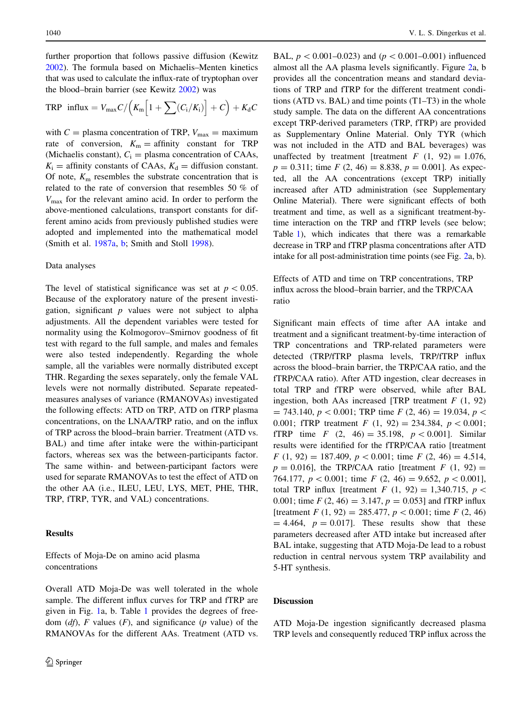further proportion that follows passive diffusion (Kewitz [2002\)](#page-7-0). The formula based on Michaelis–Menten kinetics that was used to calculate the influx-rate of tryptophan over the blood–brain barrier (see Kewitz [2002\)](#page-7-0) was

$$
TRP \ \ \text{influx} = V_{\text{max}}C/\Big(K_{\text{m}}\Big[1+\sum (C_{i}/K_{i})\Big]+C\Big)+K_{\text{d}}C
$$

with  $C =$  plasma concentration of TRP,  $V_{\text{max}} =$  maximum rate of conversion,  $K_m =$  affinity constant for TRP (Michaelis constant),  $C_i$  = plasma concentration of CAAs,  $K_i$  = affinity constants of CAAs,  $K_d$  = diffusion constant. Of note,  $K<sub>m</sub>$  resembles the substrate concentration that is related to the rate of conversion that resembles 50 % of  $V_{\text{max}}$  for the relevant amino acid. In order to perform the above-mentioned calculations, transport constants for different amino acids from previously published studies were adopted and implemented into the mathematical model (Smith et al. [1987a,](#page-7-0) [b;](#page-7-0) Smith and Stoll [1998\)](#page-7-0).

## Data analyses

The level of statistical significance was set at  $p < 0.05$ . Because of the exploratory nature of the present investigation, significant  $p$  values were not subject to alpha adjustments. All the dependent variables were tested for normality using the Kolmogorov–Smirnov goodness of fit test with regard to the full sample, and males and females were also tested independently. Regarding the whole sample, all the variables were normally distributed except THR. Regarding the sexes separately, only the female VAL levels were not normally distributed. Separate repeatedmeasures analyses of variance (RMANOVAs) investigated the following effects: ATD on TRP, ATD on fTRP plasma concentrations, on the LNAA/TRP ratio, and on the influx of TRP across the blood–brain barrier. Treatment (ATD vs. BAL) and time after intake were the within-participant factors, whereas sex was the between-participants factor. The same within- and between-participant factors were used for separate RMANOVAs to test the effect of ATD on the other AA (i.e., ILEU, LEU, LYS, MET, PHE, THR, TRP, fTRP, TYR, and VAL) concentrations.

#### Results

## Effects of Moja-De on amino acid plasma concentrations

Overall ATD Moja-De was well tolerated in the whole sample. The different influx curves for TRP and fTRP are given in Fig. [1a](#page-4-0), b. Table [1](#page-4-0) provides the degrees of freedom  $(df)$ , F values  $(F)$ , and significance  $(p$  value) of the RMANOVAs for the different AAs. Treatment (ATD vs.

BAL,  $p < 0.001-0.023$  and ( $p < 0.001-0.001$ ) influenced almost all the AA plasma levels significantly. Figure [2](#page-5-0)a, b provides all the concentration means and standard deviations of TRP and fTRP for the different treatment conditions (ATD vs. BAL) and time points (T1–T3) in the whole study sample. The data on the different AA concentrations except TRP-derived parameters (TRP, fTRP) are provided as Supplementary Online Material. Only TYR (which was not included in the ATD and BAL beverages) was unaffected by treatment [treatment F  $(1, 92) = 1.076$ ,  $p = 0.311$ ; time  $F(2, 46) = 8.838$ ,  $p = 0.001$ . As expected, all the AA concentrations (except TRP) initially increased after ATD administration (see Supplementary Online Material). There were significant effects of both treatment and time, as well as a significant treatment-bytime interaction on the TRP and fTRP levels (see below; Table [1\)](#page-4-0), which indicates that there was a remarkable decrease in TRP and fTRP plasma concentrations after ATD intake for all post-administration time points (see Fig. [2](#page-5-0)a, b).

Effects of ATD and time on TRP concentrations, TRP influx across the blood–brain barrier, and the TRP/CAA ratio

Significant main effects of time after AA intake and treatment and a significant treatment-by-time interaction of TRP concentrations and TRP-related parameters were detected (TRP/fTRP plasma levels, TRP/fTRP influx across the blood–brain barrier, the TRP/CAA ratio, and the fTRP/CAA ratio). After ATD ingestion, clear decreases in total TRP and fTRP were observed, while after BAL ingestion, both AAs increased [TRP treatment  $F(1, 92)$  $= 743.140, p < 0.001$ ; TRP time F (2, 46) = 19.034, p < 0.001; fTRP treatment  $F(1, 92) = 234.384, p < 0.001$ ; fTRP time  $F (2, 46) = 35.198, p < 0.001$ . Similar results were identified for the fTRP/CAA ratio [treatment  $F (1, 92) = 187.409, p < 0.001$ ; time  $F (2, 46) = 4.514,$  $p = 0.016$ ], the TRP/CAA ratio [treatment F (1, 92) = 764.177,  $p < 0.001$ ; time F (2, 46) = 9.652,  $p < 0.001$ ], total TRP influx [treatment F  $(1, 92) = 1,340.715, p \lt \theta$ 0.001; time  $F(2, 46) = 3.147$ ,  $p = 0.053$ ] and fTRP influx [treatment  $F (1, 92) = 285.477$ ,  $p < 0.001$ ; time  $F (2, 46)$  $= 4.464$ ,  $p = 0.017$ . These results show that these parameters decreased after ATD intake but increased after BAL intake, suggesting that ATD Moja-De lead to a robust reduction in central nervous system TRP availability and 5-HT synthesis.

#### Discussion

ATD Moja-De ingestion significantly decreased plasma TRP levels and consequently reduced TRP influx across the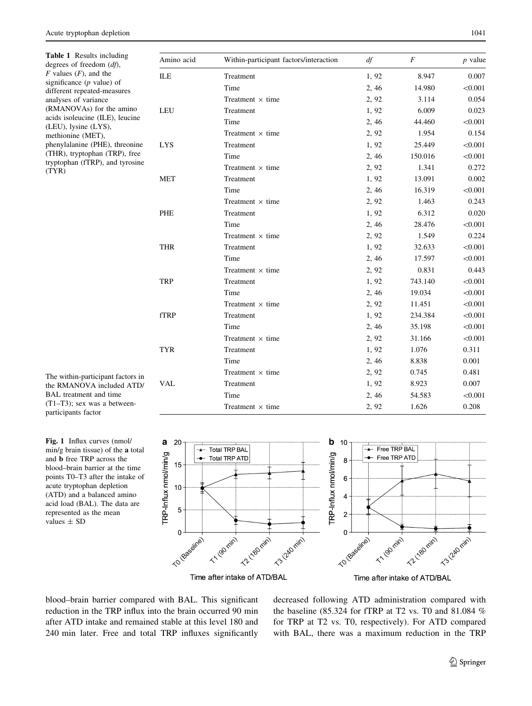<span id="page-4-0"></span>Table 1 Results including degrees of freedom (df),  $\overline{F}$  values  $(F)$ , and the significance  $(p \text{ value})$  of different repeated-measures analyses of variance (RMANOVAs) for the amino acids isoleucine (ILE), leucine (LEU), lysine (LYS), methionine (MET), phenylalanine (PHE), threonine (THR), tryptophan (TRP), free tryptophan (fTRP), and tyrosine (TYR)

| Amino acid | Within-participant factors/interaction | df    | $\boldsymbol{F}$ | $p$ value |
|------------|----------------------------------------|-------|------------------|-----------|
| <b>ILE</b> | Treatment                              | 1, 92 | 8.947            | 0.007     |
|            | Time                                   | 2, 46 | 14.980           | < 0.001   |
|            | Treatment $\times$ time                | 2, 92 | 3.114            | 0.054     |
| LEU        | Treatment                              | 1, 92 | 6.009            | 0.023     |
|            | Time                                   | 2, 46 | 44.460           | < 0.001   |
|            | Treatment $\times$ time                | 2, 92 | 1.954            | 0.154     |
| <b>LYS</b> | Treatment                              | 1, 92 | 25.449           | < 0.001   |
|            | Time                                   | 2, 46 | 150.016          | < 0.001   |
|            | Treatment $\times$ time                | 2, 92 | 1.341            | 0.272     |
| <b>MET</b> | Treatment                              | 1, 92 | 13.091           | 0.002     |
|            | Time                                   | 2, 46 | 16.319           | < 0.001   |
|            | Treatment $\times$ time                | 2, 92 | 1.463            | 0.243     |
| PHE        | Treatment                              | 1, 92 | 6.312            | 0.020     |
|            | Time                                   | 2, 46 | 28.476           | < 0.001   |
|            | Treatment $\times$ time                | 2, 92 | 1.549            | 0.224     |
| <b>THR</b> | Treatment                              | 1, 92 | 32.633           | < 0.001   |
|            | Time                                   | 2, 46 | 17.597           | < 0.001   |
|            | Treatment $\times$ time                | 2, 92 | 0.831            | 0.443     |
| TRP        | Treatment                              | 1, 92 | 743.140          | < 0.001   |
|            | Time                                   | 2, 46 | 19.034           | < 0.001   |
|            | Treatment $\times$ time                | 2, 92 | 11.451           | < 0.001   |
| fTRP       | Treatment                              | 1, 92 | 234.384          | < 0.001   |
|            | Time                                   | 2, 46 | 35.198           | < 0.001   |
|            | Treatment $\times$ time                | 2, 92 | 31.166           | < 0.001   |
| <b>TYR</b> | Treatment                              | 1, 92 | 1.076            | 0.311     |
|            | Time                                   | 2, 46 | 8.838            | 0.001     |
|            | Treatment $\times$ time                | 2, 92 | 0.745            | 0.481     |
| <b>VAL</b> | Treatment                              | 1, 92 | 8.923            | 0.007     |
|            | Time                                   | 2, 46 | 54.583           | < 0.001   |
|            | Treatment $\times$ time                | 2, 92 | 1.626            | 0.208     |



Fig. 1 Influx curves (nmol/ min/g brain tissue) of the a total and b free TRP across the blood–brain barrier at the time points T0–T3 after the intake of acute tryptophan depletion (ATD) and a balanced amino acid load (BAL). The data are represented as the mean values ± SD

b  $\mathbf{a}$ 20  $10$ **Total TRP BAL** Free TRP BAL TRP-Influx nmol/min/g TRP-Influx nmol/min/g Free TRP ATD **Total TRP ATD** 8 15  $6 \cdot$  $10$ 4  $\sqrt{5}$  $\overline{\mathbf{c}}$ T2 (190 mill) T2 Lago mini **0 - Space Simper**  $\mathbf 0$ T3 (240 mill  $\overline{0}$ T3 (20 miles **O (Basedine)** T1 (Borring) T1 (Bomin)

Time after intake of ATD/BAL

Time after intake of ATD/BAL

blood–brain barrier compared with BAL. This significant reduction in the TRP influx into the brain occurred 90 min after ATD intake and remained stable at this level 180 and 240 min later. Free and total TRP influxes significantly decreased following ATD administration compared with the baseline (85.324 for fTRP at T2 vs. T0 and 81.084 % for TRP at T2 vs. T0, respectively). For ATD compared with BAL, there was a maximum reduction in the TRP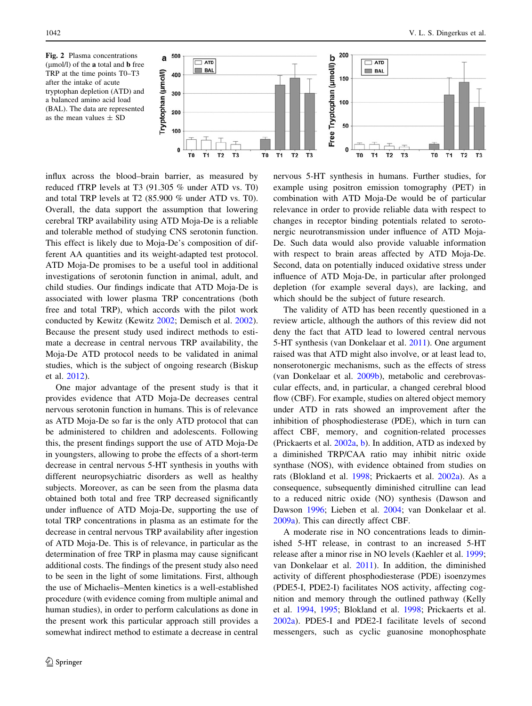<span id="page-5-0"></span>Fig. 2 Plasma concentrations ( $\mu$ mol/l) of the **a** total and **b** free TRP at the time points T0–T3 after the intake of acute tryptophan depletion (ATD) and a balanced amino acid load (BAL). The data are represented as the mean values  $\pm$  SD



influx across the blood–brain barrier, as measured by reduced fTRP levels at T3 (91.305 % under ATD vs. T0) and total TRP levels at T2 (85.900 % under ATD vs. T0). Overall, the data support the assumption that lowering cerebral TRP availability using ATD Moja-De is a reliable and tolerable method of studying CNS serotonin function. This effect is likely due to Moja-De's composition of different AA quantities and its weight-adapted test protocol. ATD Moja-De promises to be a useful tool in additional investigations of serotonin function in animal, adult, and child studies. Our findings indicate that ATD Moja-De is associated with lower plasma TRP concentrations (both free and total TRP), which accords with the pilot work conducted by Kewitz (Kewitz [2002;](#page-7-0) Demisch et al. [2002](#page-7-0)). Because the present study used indirect methods to estimate a decrease in central nervous TRP availability, the Moja-De ATD protocol needs to be validated in animal studies, which is the subject of ongoing research (Biskup et al. [2012\)](#page-7-0).

One major advantage of the present study is that it provides evidence that ATD Moja-De decreases central nervous serotonin function in humans. This is of relevance as ATD Moja-De so far is the only ATD protocol that can be administered to children and adolescents. Following this, the present findings support the use of ATD Moja-De in youngsters, allowing to probe the effects of a short-term decrease in central nervous 5-HT synthesis in youths with different neuropsychiatric disorders as well as healthy subjects. Moreover, as can be seen from the plasma data obtained both total and free TRP decreased significantly under influence of ATD Moja-De, supporting the use of total TRP concentrations in plasma as an estimate for the decrease in central nervous TRP availability after ingestion of ATD Moja-De. This is of relevance, in particular as the determination of free TRP in plasma may cause significant additional costs. The findings of the present study also need to be seen in the light of some limitations. First, although the use of Michaelis–Menten kinetics is a well-established procedure (with evidence coming from multiple animal and human studies), in order to perform calculations as done in the present work this particular approach still provides a somewhat indirect method to estimate a decrease in central

nervous 5-HT synthesis in humans. Further studies, for example using positron emission tomography (PET) in combination with ATD Moja-De would be of particular relevance in order to provide reliable data with respect to changes in receptor binding potentials related to serotonergic neurotransmission under influence of ATD Moja-De. Such data would also provide valuable information with respect to brain areas affected by ATD Moja-De. Second, data on potentially induced oxidative stress under influence of ATD Moja-De, in particular after prolonged depletion (for example several days), are lacking, and which should be the subject of future research.

The validity of ATD has been recently questioned in a review article, although the authors of this review did not deny the fact that ATD lead to lowered central nervous 5-HT synthesis (van Donkelaar et al. [2011](#page-8-0)). One argument raised was that ATD might also involve, or at least lead to, nonserotonergic mechanisms, such as the effects of stress (van Donkelaar et al. [2009b\)](#page-7-0), metabolic and cerebrovascular effects, and, in particular, a changed cerebral blood flow (CBF). For example, studies on altered object memory under ATD in rats showed an improvement after the inhibition of phosphodiesterase (PDE), which in turn can affect CBF, memory, and cognition-related processes (Prickaerts et al. [2002a,](#page-7-0) [b\)](#page-7-0). In addition, ATD as indexed by a diminished TRP/CAA ratio may inhibit nitric oxide synthase (NOS), with evidence obtained from studies on rats (Blokland et al. [1998](#page-7-0); Prickaerts et al. [2002a\)](#page-7-0). As a consequence, subsequently diminished citrulline can lead to a reduced nitric oxide (NO) synthesis (Dawson and Dawson [1996](#page-7-0); Lieben et al. [2004;](#page-7-0) van Donkelaar et al. [2009a\)](#page-7-0). This can directly affect CBF.

A moderate rise in NO concentrations leads to diminished 5-HT release, in contrast to an increased 5-HT release after a minor rise in NO levels (Kaehler et al. [1999](#page-7-0); van Donkelaar et al. [2011\)](#page-8-0). In addition, the diminished activity of different phosphodiesterase (PDE) isoenzymes (PDE5-I, PDE2-I) facilitates NOS activity, affecting cognition and memory through the outlined pathway (Kelly et al. [1994,](#page-7-0) [1995](#page-7-0); Blokland et al. [1998;](#page-7-0) Prickaerts et al. [2002a\)](#page-7-0). PDE5-I and PDE2-I facilitate levels of second messengers, such as cyclic guanosine monophosphate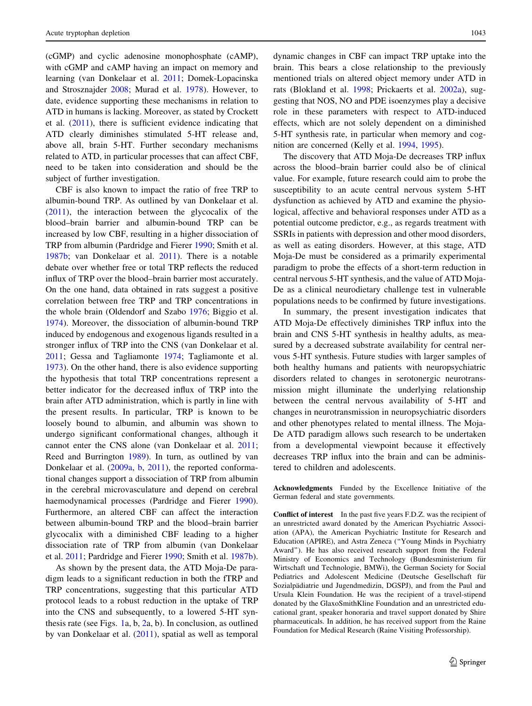(cGMP) and cyclic adenosine monophosphate (cAMP), with cGMP and cAMP having an impact on memory and learning (van Donkelaar et al. [2011;](#page-8-0) Domek-Lopacinska and Strosznajder [2008](#page-7-0); Murad et al. [1978\)](#page-7-0). However, to date, evidence supporting these mechanisms in relation to ATD in humans is lacking. Moreover, as stated by Crockett et al. ([2011\)](#page-7-0), there is sufficient evidence indicating that ATD clearly diminishes stimulated 5-HT release and, above all, brain 5-HT. Further secondary mechanisms related to ATD, in particular processes that can affect CBF, need to be taken into consideration and should be the subject of further investigation.

CBF is also known to impact the ratio of free TRP to albumin-bound TRP. As outlined by van Donkelaar et al. [\(2011](#page-8-0)), the interaction between the glycocalix of the blood–brain barrier and albumin-bound TRP can be increased by low CBF, resulting in a higher dissociation of TRP from albumin (Pardridge and Fierer [1990;](#page-7-0) Smith et al. [1987b;](#page-7-0) van Donkelaar et al. [2011](#page-8-0)). There is a notable debate over whether free or total TRP reflects the reduced influx of TRP over the blood–brain barrier most accurately. On the one hand, data obtained in rats suggest a positive correlation between free TRP and TRP concentrations in the whole brain (Oldendorf and Szabo [1976;](#page-7-0) Biggio et al. [1974\)](#page-7-0). Moreover, the dissociation of albumin-bound TRP induced by endogenous and exogenous ligands resulted in a stronger influx of TRP into the CNS (van Donkelaar et al. [2011;](#page-8-0) Gessa and Tagliamonte [1974](#page-7-0); Tagliamonte et al. [1973\)](#page-7-0). On the other hand, there is also evidence supporting the hypothesis that total TRP concentrations represent a better indicator for the decreased influx of TRP into the brain after ATD administration, which is partly in line with the present results. In particular, TRP is known to be loosely bound to albumin, and albumin was shown to undergo significant conformational changes, although it cannot enter the CNS alone (van Donkelaar et al. [2011](#page-8-0); Reed and Burrington [1989\)](#page-7-0). In turn, as outlined by van Donkelaar et al. ([2009a](#page-7-0), [b](#page-7-0), [2011](#page-8-0)), the reported conformational changes support a dissociation of TRP from albumin in the cerebral microvasculature and depend on cerebral haemodynamical processes (Pardridge and Fierer [1990](#page-7-0)). Furthermore, an altered CBF can affect the interaction between albumin-bound TRP and the blood–brain barrier glycocalix with a diminished CBF leading to a higher dissociation rate of TRP from albumin (van Donkelaar et al. [2011](#page-8-0); Pardridge and Fierer [1990;](#page-7-0) Smith et al. [1987b](#page-7-0)).

As shown by the present data, the ATD Moja-De paradigm leads to a significant reduction in both the fTRP and TRP concentrations, suggesting that this particular ATD protocol leads to a robust reduction in the uptake of TRP into the CNS and subsequently, to a lowered 5-HT synthesis rate (see Figs. [1](#page-4-0)a, b, [2](#page-5-0)a, b). In conclusion, as outlined by van Donkelaar et al. ([2011\)](#page-8-0), spatial as well as temporal dynamic changes in CBF can impact TRP uptake into the brain. This bears a close relationship to the previously mentioned trials on altered object memory under ATD in rats (Blokland et al. [1998](#page-7-0); Prickaerts et al. [2002a\)](#page-7-0), suggesting that NOS, NO and PDE isoenzymes play a decisive role in these parameters with respect to ATD-induced effects, which are not solely dependent on a diminished 5-HT synthesis rate, in particular when memory and cognition are concerned (Kelly et al. [1994,](#page-7-0) [1995](#page-7-0)).

The discovery that ATD Moja-De decreases TRP influx across the blood–brain barrier could also be of clinical value. For example, future research could aim to probe the susceptibility to an acute central nervous system 5-HT dysfunction as achieved by ATD and examine the physiological, affective and behavioral responses under ATD as a potential outcome predictor, e.g., as regards treatment with SSRIs in patients with depression and other mood disorders, as well as eating disorders. However, at this stage, ATD Moja-De must be considered as a primarily experimental paradigm to probe the effects of a short-term reduction in central nervous 5-HT synthesis, and the value of ATD Moja-De as a clinical neurodietary challenge test in vulnerable populations needs to be confirmed by future investigations.

In summary, the present investigation indicates that ATD Moja-De effectively diminishes TRP influx into the brain and CNS 5-HT synthesis in healthy adults, as measured by a decreased substrate availability for central nervous 5-HT synthesis. Future studies with larger samples of both healthy humans and patients with neuropsychiatric disorders related to changes in serotonergic neurotransmission might illuminate the underlying relationship between the central nervous availability of 5-HT and changes in neurotransmission in neuropsychiatric disorders and other phenotypes related to mental illness. The Moja-De ATD paradigm allows such research to be undertaken from a developmental viewpoint because it effectively decreases TRP influx into the brain and can be administered to children and adolescents.

Acknowledgments Funded by the Excellence Initiative of the German federal and state governments.

Conflict of interest In the past five years F.D.Z. was the recipient of an unrestricted award donated by the American Psychiatric Association (APA), the American Psychiatric Institute for Research and Education (APIRE), and Astra Zeneca (''Young Minds in Psychiatry Award''). He has also received research support from the Federal Ministry of Economics and Technology (Bundesministerium für Wirtschaft und Technologie, BMWi), the German Society for Social Pediatrics and Adolescent Medicine (Deutsche Gesellschaft für Sozialpädiatrie und Jugendmedizin, DGSPJ), and from the Paul and Ursula Klein Foundation. He was the recipient of a travel-stipend donated by the GlaxoSmithKline Foundation and an unrestricted educational grant, speaker honoraria and travel support donated by Shire pharmaceuticals. In addition, he has received support from the Raine Foundation for Medical Research (Raine Visiting Professorship).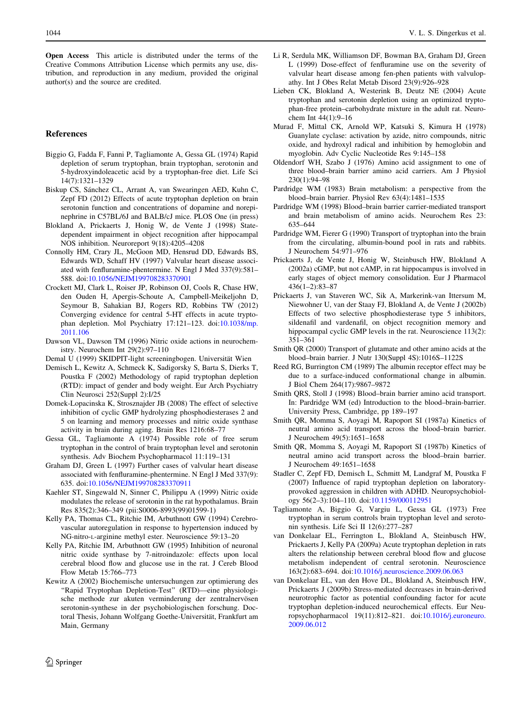<span id="page-7-0"></span>Open Access This article is distributed under the terms of the Creative Commons Attribution License which permits any use, distribution, and reproduction in any medium, provided the original author(s) and the source are credited.

#### References

- Biggio G, Fadda F, Fanni P, Tagliamonte A, Gessa GL (1974) Rapid depletion of serum tryptophan, brain tryptophan, serotonin and 5-hydroxyindoleacetic acid by a tryptophan-free diet. Life Sci 14(7):1321–1329
- Biskup CS, Sánchez CL, Arrant A, van Swearingen AED, Kuhn C, Zepf FD (2012) Effects of acute tryptophan depletion on brain serotonin function and concentrations of dopamine and norepinephrine in C57BL/6J and BALB/cJ mice. PLOS One (in press)
- Blokland A, Prickaerts J, Honig W, de Vente J (1998) Statedependent impairment in object recognition after hippocampal NOS inhibition. Neuroreport 9(18):4205–4208
- Connolly HM, Crary JL, McGoon MD, Hensrud DD, Edwards BS, Edwards WD, Schaff HV (1997) Valvular heart disease associated with fenfluramine-phentermine. N Engl J Med 337(9):581– 588. doi:[10.1056/NEJM199708283370901](http://dx.doi.org/10.1056/NEJM199708283370901)
- Crockett MJ, Clark L, Roiser JP, Robinson OJ, Cools R, Chase HW, den Ouden H, Apergis-Schoute A, Campbell-Meikeljohn D, Seymour B, Sahakian BJ, Rogers RD, Robbins TW (2012) Converging evidence for central 5-HT effects in acute tryptophan depletion. Mol Psychiatry 17:121–123. doi[:10.1038/mp.](http://dx.doi.org/10.1038/mp.2011.106) [2011.106](http://dx.doi.org/10.1038/mp.2011.106)
- Dawson VL, Dawson TM (1996) Nitric oxide actions in neurochemistry. Neurochem Int 29(2):97–110
- Demal U (1999) SKIDPIT-light screeningbogen. Universität Wien
- Demisch L, Kewitz A, Schmeck K, Sadigorsky S, Barta S, Dierks T, Poustka F (2002) Methodology of rapid tryptophan depletion (RTD): impact of gender and body weight. Eur Arch Psychiatry Clin Neurosci 252(Suppl 2):I/25
- Domek-Lopacinska K, Strosznajder JB (2008) The effect of selective inhibition of cyclic GMP hydrolyzing phosphodiesterases 2 and 5 on learning and memory processes and nitric oxide synthase activity in brain during aging. Brain Res 1216:68–77
- Gessa GL, Tagliamonte A (1974) Possible role of free serum tryptophan in the control of brain tryptophan level and serotonin synthesis. Adv Biochem Psychopharmacol 11:119–131
- Graham DJ, Green L (1997) Further cases of valvular heart disease associated with fenfluramine-phentermine. N Engl J Med 337(9): 635. doi:[10.1056/NEJM199708283370911](http://dx.doi.org/10.1056/NEJM199708283370911)
- Kaehler ST, Singewald N, Sinner C, Philippu A (1999) Nitric oxide modulates the release of serotonin in the rat hypothalamus. Brain Res 835(2):346–349 (pii:S0006-8993(99)01599-1)
- Kelly PA, Thomas CL, Ritchie IM, Arbuthnott GW (1994) Cerebrovascular autoregulation in response to hypertension induced by NG-nitro-L-arginine methyl ester. Neuroscience 59:13–20
- Kelly PA, Ritchie IM, Arbuthnott GW (1995) Inhibition of neuronal nitric oxide synthase by 7-nitroindazole: effects upon local cerebral blood flow and glucose use in the rat. J Cereb Blood Flow Metab 15:766–773
- Kewitz A (2002) Biochemische untersuchungen zur optimierung des ''Rapid Tryptophan Depletion-Test'' (RTD)––eine physiologische methode zur akuten verminderung der zentralnervösen serotonin-synthese in der psychobiologischen forschung. Doctoral Thesis, Johann Wolfgang Goethe-Universität, Frankfurt am Main, Germany
- Li R, Serdula MK, Williamson DF, Bowman BA, Graham DJ, Green L (1999) Dose-effect of fenfluramine use on the severity of valvular heart disease among fen-phen patients with valvulopathy. Int J Obes Relat Metab Disord 23(9):926–928
- Lieben CK, Blokland A, Westerink B, Deutz NE (2004) Acute tryptophan and serotonin depletion using an optimized tryptophan-free protein–carbohydrate mixture in the adult rat. Neurochem Int 44(1):9–16
- Murad F, Mittal CK, Arnold WP, Katsuki S, Kimura H (1978) Guanylate cyclase: activation by azide, nitro compounds, nitric oxide, and hydroxyl radical and inhibition by hemoglobin and myoglobin. Adv Cyclic Nucleotide Res 9:145–158
- Oldendorf WH, Szabo J (1976) Amino acid assignment to one of three blood–brain barrier amino acid carriers. Am J Physiol 230(1):94–98
- Pardridge WM (1983) Brain metabolism: a perspective from the blood–brain barrier. Physiol Rev 63(4):1481–1535
- Pardridge WM (1998) Blood–brain barrier carrier-mediated transport and brain metabolism of amino acids. Neurochem Res 23: 635–644
- Pardridge WM, Fierer G (1990) Transport of tryptophan into the brain from the circulating, albumin-bound pool in rats and rabbits. J Neurochem 54:971–976
- Prickaerts J, de Vente J, Honig W, Steinbusch HW, Blokland A (2002a) cGMP, but not cAMP, in rat hippocampus is involved in early stages of object memory consolidation. Eur J Pharmacol 436(1–2):83–87
- Prickaerts J, van Staveren WC, Sik A, Markerink-van Ittersum M, Niewohner U, van der Staay FJ, Blokland A, de Vente J (2002b) Effects of two selective phosphodiesterase type 5 inhibitors, sildenafil and vardenafil, on object recognition memory and hippocampal cyclic GMP levels in the rat. Neuroscience 113(2): 351–361
- Smith QR (2000) Transport of glutamate and other amino acids at the blood–brain barrier. J Nutr 130(Suppl 4S):1016S–1122S
- Reed RG, Burrington CM (1989) The albumin receptor effect may be due to a surface-induced conformational change in albumin. J Biol Chem 264(17):9867–9872
- Smith QRS, Stoll J (1998) Blood–brain barrier amino acid transport. In: Pardridge WM (ed) Introduction to the blood–brain-barrier. University Press, Cambridge, pp 189–197
- Smith QR, Momma S, Aoyagi M, Rapoport SI (1987a) Kinetics of neutral amino acid transport across the blood–brain barrier. J Neurochem 49(5):1651–1658
- Smith QR, Momma S, Aoyagi M, Rapoport SI (1987b) Kinetics of neutral amino acid transport across the blood–brain barrier. J Neurochem 49:1651–1658
- Stadler C, Zepf FD, Demisch L, Schmitt M, Landgraf M, Poustka F (2007) Influence of rapid tryptophan depletion on laboratoryprovoked aggression in children with ADHD. Neuropsychobiology 56(2–3):104–110. doi:[10.1159/000112951](http://dx.doi.org/10.1159/000112951)
- Tagliamonte A, Biggio G, Vargiu L, Gessa GL (1973) Free tryptophan in serum controls brain tryptophan level and serotonin synthesis. Life Sci II 12(6):277–287
- van Donkelaar EL, Ferrington L, Blokland A, Steinbusch HW, Prickaerts J, Kelly PA (2009a) Acute tryptophan depletion in rats alters the relationship between cerebral blood flow and glucose metabolism independent of central serotonin. Neuroscience 163(2):683–694. doi:[10.1016/j.neuroscience.2009.06.063](http://dx.doi.org/10.1016/j.neuroscience.2009.06.063)
- van Donkelaar EL, van den Hove DL, Blokland A, Steinbusch HW, Prickaerts J (2009b) Stress-mediated decreases in brain-derived neurotrophic factor as potential confounding factor for acute tryptophan depletion-induced neurochemical effects. Eur Neuropsychopharmacol 19(11):812–821. doi[:10.1016/j.euroneuro.](http://dx.doi.org/10.1016/j.euroneuro.2009.06.012) [2009.06.012](http://dx.doi.org/10.1016/j.euroneuro.2009.06.012)